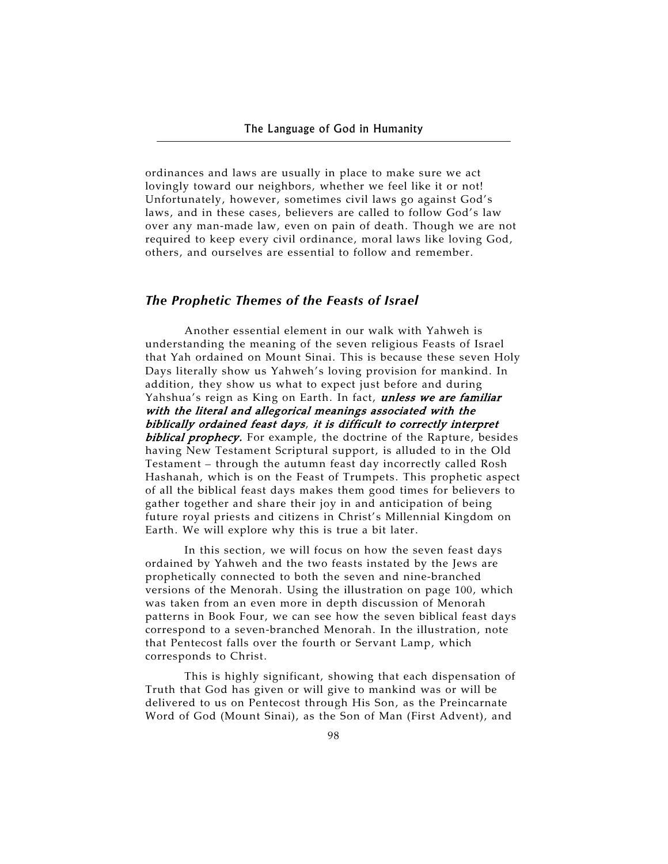ordinances and laws are usually in place to make sure we act lovingly toward our neighbors, whether we feel like it or not! Unfortunately, however, sometimes civil laws go against God's laws, and in these cases, believers are called to follow God's law over any man-made law, even on pain of death. Though we are not required to keep every civil ordinance, moral laws like loving God, others, and ourselves are essential to follow and remember.

# *The Prophetic Themes of the Feasts of Israel*

Another essential element in our walk with Yahweh is understanding the meaning of the seven religious Feasts of Israel that Yah ordained on Mount Sinai. This is because these seven Holy Days literally show us Yahweh's loving provision for mankind. In addition, they show us what to expect just before and during Yahshua's reign as King on Earth. In fact, *unless we are familiar* with the literal and allegorical meanings associated with the biblically ordained feast days, it is difficult to correctly interpret biblical prophecy. For example, the doctrine of the Rapture, besides having New Testament Scriptural support, is alluded to in the Old Testament – through the autumn feast day incorrectly called Rosh Hashanah, which is on the Feast of Trumpets. This prophetic aspect of all the biblical feast days makes them good times for believers to gather together and share their joy in and anticipation of being future royal priests and citizens in Christ's Millennial Kingdom on Earth. We will explore why this is true a bit later.

In this section, we will focus on how the seven feast days ordained by Yahweh and the two feasts instated by the Jews are prophetically connected to both the seven and nine-branched versions of the Menorah. Using the illustration on page 100, which was taken from an even more in depth discussion of Menorah patterns in Book Four, we can see how the seven biblical feast days correspond to a seven-branched Menorah. In the illustration, note that Pentecost falls over the fourth or Servant Lamp, which corresponds to Christ.

This is highly significant, showing that each dispensation of Truth that God has given or will give to mankind was or will be delivered to us on Pentecost through His Son, as the Preincarnate Word of God (Mount Sinai), as the Son of Man (First Advent), and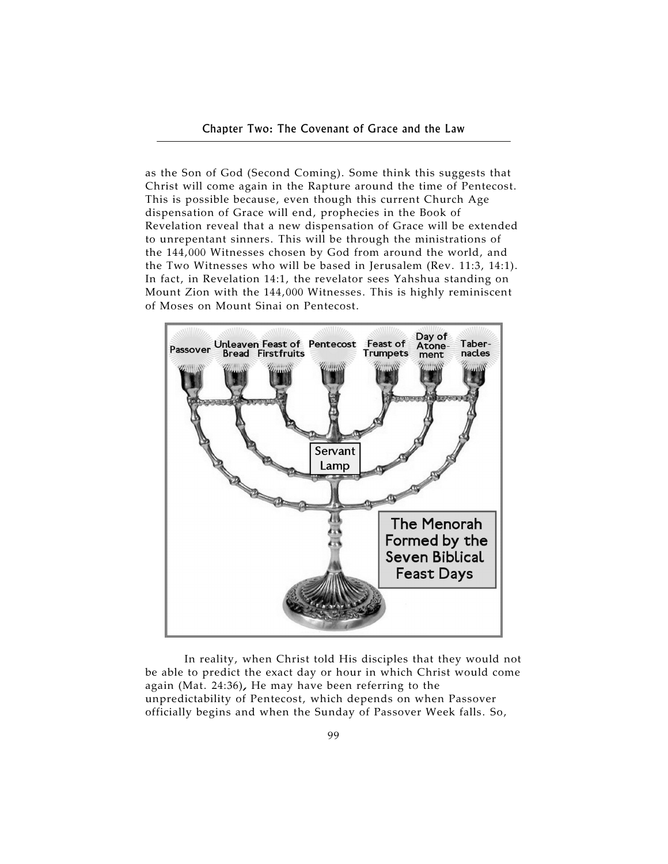as the Son of God (Second Coming). Some think this suggests that Christ will come again in the Rapture around the time of Pentecost. This is possible because, even though this current Church Age dispensation of Grace will end, prophecies in the Book of Revelation reveal that a new dispensation of Grace will be extended to unrepentant sinners. This will be through the ministrations of the 144,000 Witnesses chosen by God from around the world, and the Two Witnesses who will be based in Jerusalem (Rev. 11:3, 14:1). In fact, in Revelation 14:1, the revelator sees Yahshua standing on Mount Zion with the 144,000 Witnesses. This is highly reminiscent of Moses on Mount Sinai on Pentecost.



In reality, when Christ told His disciples that they would not be able to predict the exact day or hour in which Christ would come again (Mat. 24:36), He may have been referring to the unpredictability of Pentecost, which depends on when Passover officially begins and when the Sunday of Passover Week falls. So,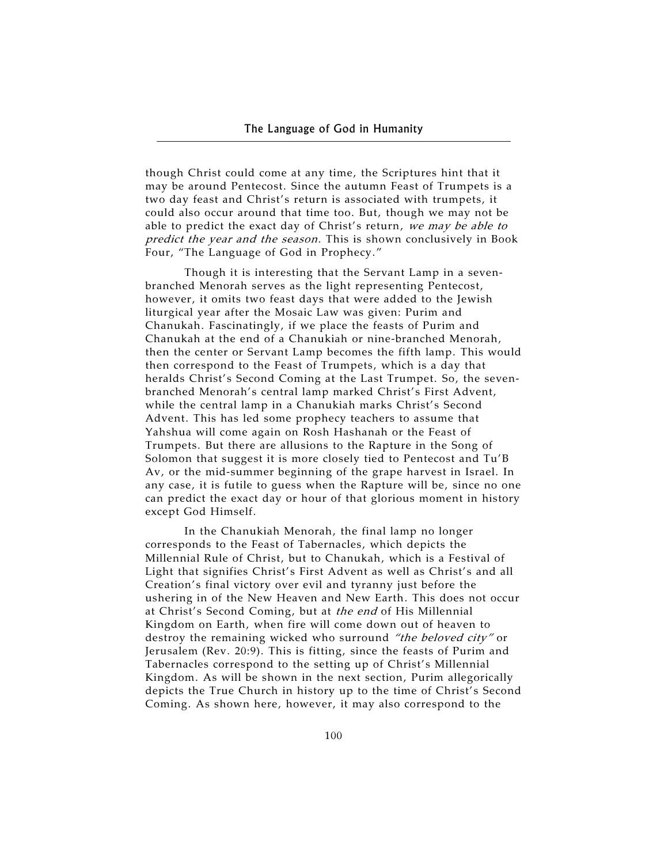though Christ could come at any time, the Scriptures hint that it may be around Pentecost. Since the autumn Feast of Trumpets is a two day feast and Christ's return is associated with trumpets, it could also occur around that time too. But, though we may not be able to predict the exact day of Christ's return, we may be able to predict the year and the season. This is shown conclusively in Book Four, "The Language of God in Prophecy."

Though it is interesting that the Servant Lamp in a sevenbranched Menorah serves as the light representing Pentecost, however, it omits two feast days that were added to the Jewish liturgical year after the Mosaic Law was given: Purim and Chanukah. Fascinatingly, if we place the feasts of Purim and Chanukah at the end of a Chanukiah or nine-branched Menorah, then the center or Servant Lamp becomes the fifth lamp. This would then correspond to the Feast of Trumpets, which is a day that heralds Christ's Second Coming at the Last Trumpet. So, the sevenbranched Menorah's central lamp marked Christ's First Advent, while the central lamp in a Chanukiah marks Christ's Second Advent. This has led some prophecy teachers to assume that Yahshua will come again on Rosh Hashanah or the Feast of Trumpets. But there are allusions to the Rapture in the Song of Solomon that suggest it is more closely tied to Pentecost and Tu'B Av, or the mid-summer beginning of the grape harvest in Israel. In any case, it is futile to guess when the Rapture will be, since no one can predict the exact day or hour of that glorious moment in history except God Himself.

In the Chanukiah Menorah, the final lamp no longer corresponds to the Feast of Tabernacles, which depicts the Millennial Rule of Christ, but to Chanukah, which is a Festival of Light that signifies Christ's First Advent as well as Christ's and all Creation's final victory over evil and tyranny just before the ushering in of the New Heaven and New Earth. This does not occur at Christ's Second Coming, but at the end of His Millennial Kingdom on Earth, when fire will come down out of heaven to destroy the remaining wicked who surround "the beloved city" or Jerusalem (Rev. 20:9). This is fitting, since the feasts of Purim and Tabernacles correspond to the setting up of Christ's Millennial Kingdom. As will be shown in the next section, Purim allegorically depicts the True Church in history up to the time of Christ's Second Coming. As shown here, however, it may also correspond to the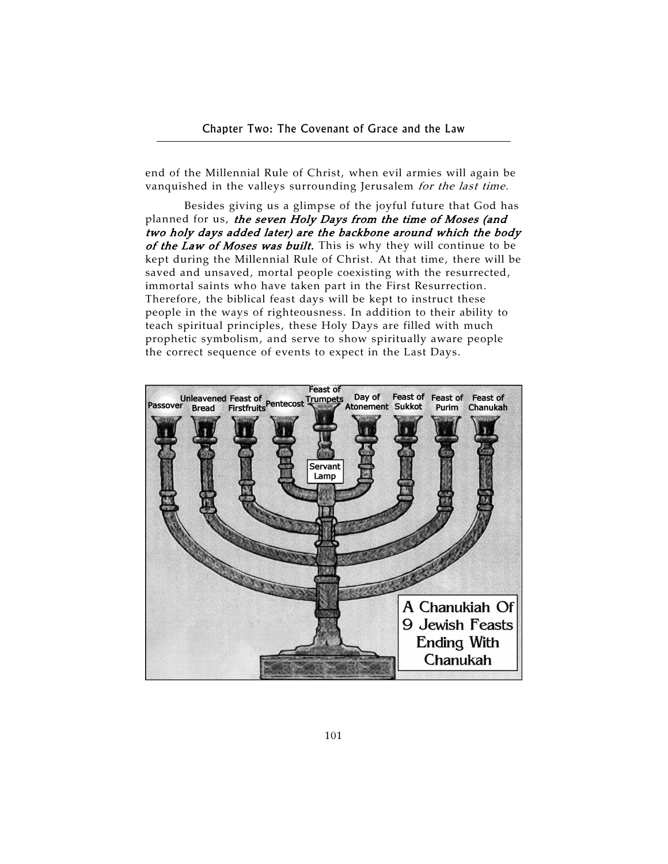end of the Millennial Rule of Christ, when evil armies will again be vanquished in the valleys surrounding Jerusalem for the last time.

Besides giving us a glimpse of the joyful future that God has planned for us, the seven Holy Days from the time of Moses (and two holy days added later) are the backbone around which the body of the Law of Moses was built. This is why they will continue to be kept during the Millennial Rule of Christ. At that time, there will be saved and unsaved, mortal people coexisting with the resurrected, immortal saints who have taken part in the First Resurrection. Therefore, the biblical feast days will be kept to instruct these people in the ways of righteousness. In addition to their ability to teach spiritual principles, these Holy Days are filled with much prophetic symbolism, and serve to show spiritually aware people the correct sequence of events to expect in the Last Days.

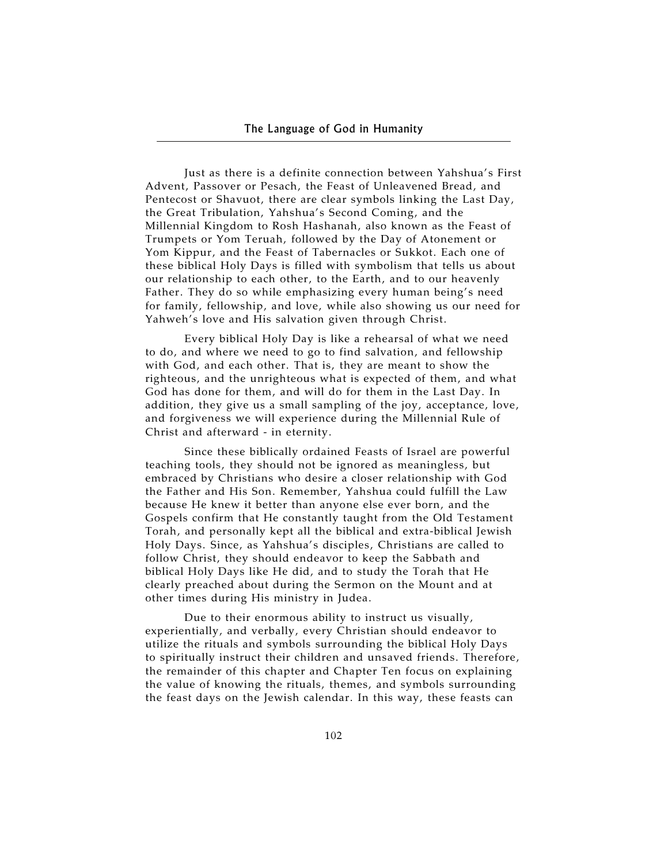Just as there is a definite connection between Yahshua's First Advent, Passover or Pesach, the Feast of Unleavened Bread, and Pentecost or Shavuot, there are clear symbols linking the Last Day, the Great Tribulation, Yahshua's Second Coming, and the Millennial Kingdom to Rosh Hashanah, also known as the Feast of Trumpets or Yom Teruah, followed by the Day of Atonement or Yom Kippur, and the Feast of Tabernacles or Sukkot. Each one of these biblical Holy Days is filled with symbolism that tells us about our relationship to each other, to the Earth, and to our heavenly Father. They do so while emphasizing every human being's need for family, fellowship, and love, while also showing us our need for Yahweh's love and His salvation given through Christ.

Every biblical Holy Day is like a rehearsal of what we need to do, and where we need to go to find salvation, and fellowship with God, and each other. That is, they are meant to show the righteous, and the unrighteous what is expected of them, and what God has done for them, and will do for them in the Last Day. In addition, they give us a small sampling of the joy, acceptance, love, and forgiveness we will experience during the Millennial Rule of Christ and afterward - in eternity.

Since these biblically ordained Feasts of Israel are powerful teaching tools, they should not be ignored as meaningless, but embraced by Christians who desire a closer relationship with God the Father and His Son. Remember, Yahshua could fulfill the Law because He knew it better than anyone else ever born, and the Gospels confirm that He constantly taught from the Old Testament Torah, and personally kept all the biblical and extra-biblical Jewish Holy Days. Since, as Yahshua's disciples, Christians are called to follow Christ, they should endeavor to keep the Sabbath and biblical Holy Days like He did, and to study the Torah that He clearly preached about during the Sermon on the Mount and at other times during His ministry in Judea.

Due to their enormous ability to instruct us visually, experientially, and verbally, every Christian should endeavor to utilize the rituals and symbols surrounding the biblical Holy Days to spiritually instruct their children and unsaved friends. Therefore, the remainder of this chapter and Chapter Ten focus on explaining the value of knowing the rituals, themes, and symbols surrounding the feast days on the Jewish calendar. In this way, these feasts can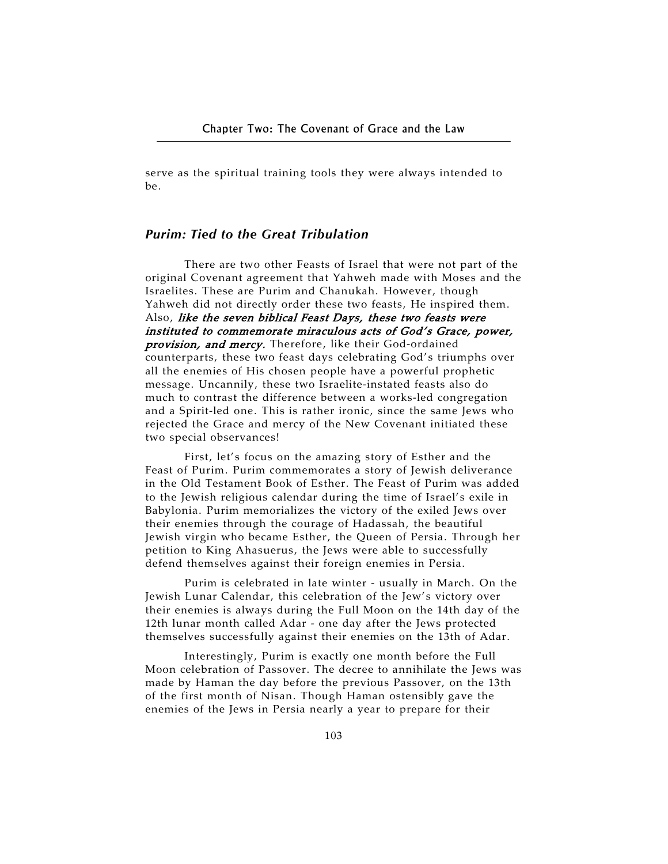serve as the spiritual training tools they were always intended to be.

## *Purim: Tied to the Great Tribulation*

There are two other Feasts of Israel that were not part of the original Covenant agreement that Yahweh made with Moses and the Israelites. These are Purim and Chanukah. However, though Yahweh did not directly order these two feasts, He inspired them. Also, like the seven biblical Feast Days, these two feasts were instituted to commemorate miraculous acts of God's Grace, power, provision, and mercy. Therefore, like their God-ordained counterparts, these two feast days celebrating God's triumphs over all the enemies of His chosen people have a powerful prophetic message. Uncannily, these two Israelite-instated feasts also do much to contrast the difference between a works-led congregation and a Spirit-led one. This is rather ironic, since the same Jews who rejected the Grace and mercy of the New Covenant initiated these two special observances!

First, let's focus on the amazing story of Esther and the Feast of Purim. Purim commemorates a story of Jewish deliverance in the Old Testament Book of Esther. The Feast of Purim was added to the Jewish religious calendar during the time of Israel's exile in Babylonia. Purim memorializes the victory of the exiled Jews over their enemies through the courage of Hadassah, the beautiful Jewish virgin who became Esther, the Queen of Persia. Through her petition to King Ahasuerus, the Jews were able to successfully defend themselves against their foreign enemies in Persia.

Purim is celebrated in late winter - usually in March. On the Jewish Lunar Calendar, this celebration of the Jew's victory over their enemies is always during the Full Moon on the 14th day of the 12th lunar month called Adar - one day after the Jews protected themselves successfully against their enemies on the 13th of Adar.

Interestingly, Purim is exactly one month before the Full Moon celebration of Passover. The decree to annihilate the Jews was made by Haman the day before the previous Passover, on the 13th of the first month of Nisan. Though Haman ostensibly gave the enemies of the Jews in Persia nearly a year to prepare for their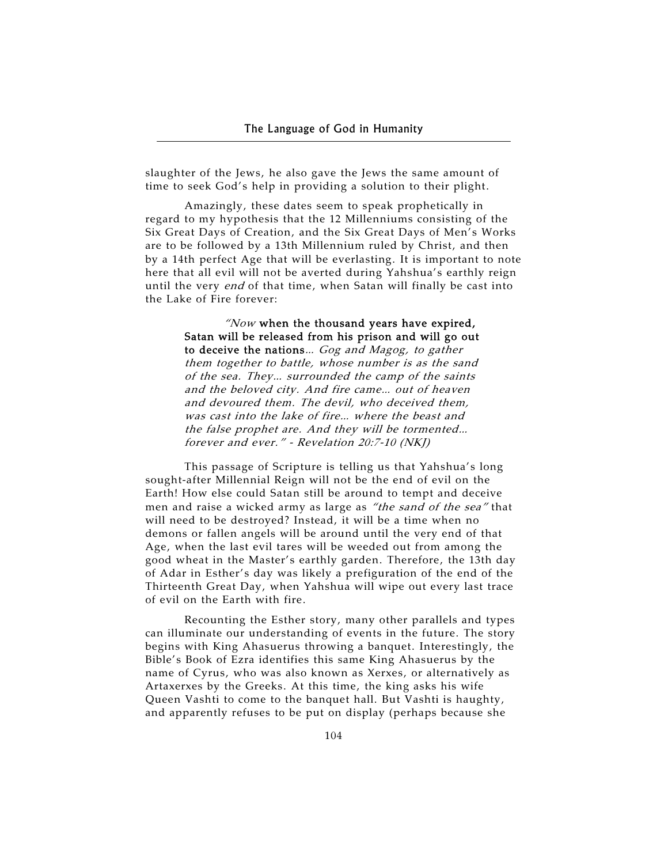slaughter of the Jews, he also gave the Jews the same amount of time to seek God's help in providing a solution to their plight.

Amazingly, these dates seem to speak prophetically in regard to my hypothesis that the 12 Millenniums consisting of the Six Great Days of Creation, and the Six Great Days of Men's Works are to be followed by a 13th Millennium ruled by Christ, and then by a 14th perfect Age that will be everlasting. It is important to note here that all evil will not be averted during Yahshua's earthly reign until the very end of that time, when Satan will finally be cast into the Lake of Fire forever:

> "Now when the thousand years have expired, Satan will be released from his prison and will go out to deceive the nations… Gog and Magog, to gather them together to battle, whose number is as the sand of the sea. They… surrounded the camp of the saints and the beloved city. And fire came… out of heaven and devoured them. The devil, who deceived them, was cast into the lake of fire… where the beast and the false prophet are. And they will be tormented… forever and ever." - Revelation 20:7-10 (NKJ)

This passage of Scripture is telling us that Yahshua's long sought-after Millennial Reign will not be the end of evil on the Earth! How else could Satan still be around to tempt and deceive men and raise a wicked army as large as "the sand of the sea" that will need to be destroyed? Instead, it will be a time when no demons or fallen angels will be around until the very end of that Age, when the last evil tares will be weeded out from among the good wheat in the Master's earthly garden. Therefore, the 13th day of Adar in Esther's day was likely a prefiguration of the end of the Thirteenth Great Day, when Yahshua will wipe out every last trace of evil on the Earth with fire.

Recounting the Esther story, many other parallels and types can illuminate our understanding of events in the future. The story begins with King Ahasuerus throwing a banquet. Interestingly, the Bible's Book of Ezra identifies this same King Ahasuerus by the name of Cyrus, who was also known as Xerxes, or alternatively as Artaxerxes by the Greeks. At this time, the king asks his wife Queen Vashti to come to the banquet hall. But Vashti is haughty, and apparently refuses to be put on display (perhaps because she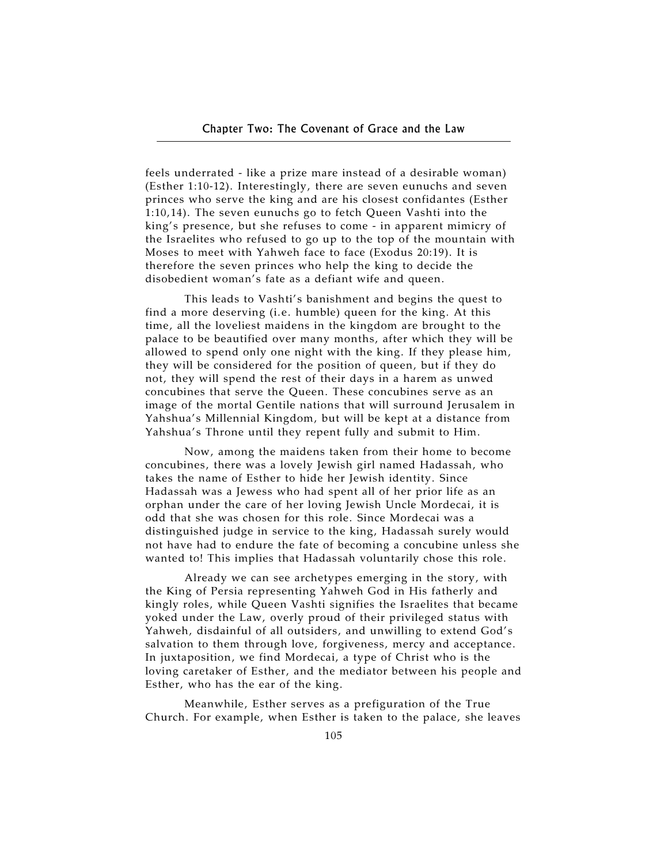feels underrated - like a prize mare instead of a desirable woman) (Esther 1:10-12). Interestingly, there are seven eunuchs and seven princes who serve the king and are his closest confidantes (Esther 1:10,14). The seven eunuchs go to fetch Queen Vashti into the king's presence, but she refuses to come - in apparent mimicry of the Israelites who refused to go up to the top of the mountain with Moses to meet with Yahweh face to face (Exodus 20:19). It is therefore the seven princes who help the king to decide the disobedient woman's fate as a defiant wife and queen.

This leads to Vashti's banishment and begins the quest to find a more deserving (i.e. humble) queen for the king. At this time, all the loveliest maidens in the kingdom are brought to the palace to be beautified over many months, after which they will be allowed to spend only one night with the king. If they please him, they will be considered for the position of queen, but if they do not, they will spend the rest of their days in a harem as unwed concubines that serve the Queen. These concubines serve as an image of the mortal Gentile nations that will surround Jerusalem in Yahshua's Millennial Kingdom, but will be kept at a distance from Yahshua's Throne until they repent fully and submit to Him.

Now, among the maidens taken from their home to become concubines, there was a lovely Jewish girl named Hadassah, who takes the name of Esther to hide her Jewish identity. Since Hadassah was a Jewess who had spent all of her prior life as an orphan under the care of her loving Jewish Uncle Mordecai, it is odd that she was chosen for this role. Since Mordecai was a distinguished judge in service to the king, Hadassah surely would not have had to endure the fate of becoming a concubine unless she wanted to! This implies that Hadassah voluntarily chose this role.

Already we can see archetypes emerging in the story, with the King of Persia representing Yahweh God in His fatherly and kingly roles, while Queen Vashti signifies the Israelites that became yoked under the Law, overly proud of their privileged status with Yahweh, disdainful of all outsiders, and unwilling to extend God's salvation to them through love, forgiveness, mercy and acceptance. In juxtaposition, we find Mordecai, a type of Christ who is the loving caretaker of Esther, and the mediator between his people and Esther, who has the ear of the king.

Meanwhile, Esther serves as a prefiguration of the True Church. For example, when Esther is taken to the palace, she leaves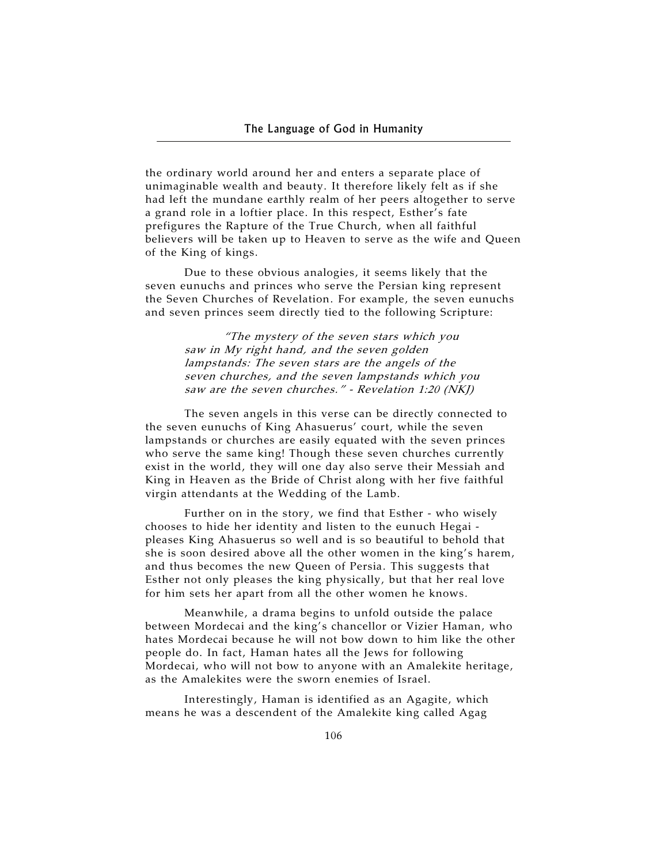the ordinary world around her and enters a separate place of unimaginable wealth and beauty. It therefore likely felt as if she had left the mundane earthly realm of her peers altogether to serve a grand role in a loftier place. In this respect, Esther's fate prefigures the Rapture of the True Church, when all faithful believers will be taken up to Heaven to serve as the wife and Queen of the King of kings.

Due to these obvious analogies, it seems likely that the seven eunuchs and princes who serve the Persian king represent the Seven Churches of Revelation. For example, the seven eunuchs and seven princes seem directly tied to the following Scripture:

> "The mystery of the seven stars which you saw in My right hand, and the seven golden lampstands: The seven stars are the angels of the seven churches, and the seven lampstands which you saw are the seven churches." - Revelation 1:20 (NKJ)

The seven angels in this verse can be directly connected to the seven eunuchs of King Ahasuerus' court, while the seven lampstands or churches are easily equated with the seven princes who serve the same king! Though these seven churches currently exist in the world, they will one day also serve their Messiah and King in Heaven as the Bride of Christ along with her five faithful virgin attendants at the Wedding of the Lamb.

Further on in the story, we find that Esther - who wisely chooses to hide her identity and listen to the eunuch Hegai pleases King Ahasuerus so well and is so beautiful to behold that she is soon desired above all the other women in the king's harem, and thus becomes the new Queen of Persia. This suggests that Esther not only pleases the king physically, but that her real love for him sets her apart from all the other women he knows.

Meanwhile, a drama begins to unfold outside the palace between Mordecai and the king's chancellor or Vizier Haman, who hates Mordecai because he will not bow down to him like the other people do. In fact, Haman hates all the Jews for following Mordecai, who will not bow to anyone with an Amalekite heritage, as the Amalekites were the sworn enemies of Israel.

Interestingly, Haman is identified as an Agagite, which means he was a descendent of the Amalekite king called Agag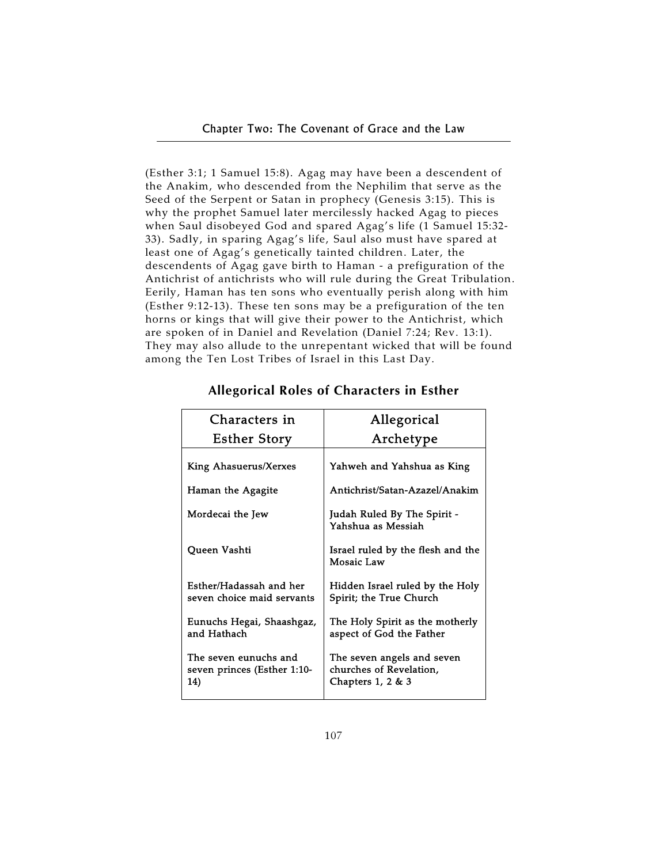(Esther 3:1; 1 Samuel 15:8). Agag may have been a descendent of the Anakim, who descended from the Nephilim that serve as the Seed of the Serpent or Satan in prophecy (Genesis 3:15). This is why the prophet Samuel later mercilessly hacked Agag to pieces when Saul disobeyed God and spared Agag's life (1 Samuel 15:32- 33). Sadly, in sparing Agag's life, Saul also must have spared at least one of Agag's genetically tainted children. Later, the descendents of Agag gave birth to Haman - a prefiguration of the Antichrist of antichrists who will rule during the Great Tribulation. Eerily, Haman has ten sons who eventually perish along with him (Esther 9:12-13). These ten sons may be a prefiguration of the ten horns or kings that will give their power to the Antichrist, which are spoken of in Daniel and Revelation (Daniel 7:24; Rev. 13:1). They may also allude to the unrepentant wicked that will be found among the Ten Lost Tribes of Israel in this Last Day.

| Characters in                                               | Allegorical                                                                   |
|-------------------------------------------------------------|-------------------------------------------------------------------------------|
| <b>Esther Story</b>                                         | Archetype                                                                     |
| King Ahasuerus/Xerxes                                       | Yahweh and Yahshua as King                                                    |
| Haman the Agagite                                           | Antichrist/Satan-Azazel/Anakim                                                |
| Mordecai the Jew                                            | Judah Ruled By The Spirit -<br>Yahshua as Messiah                             |
| Queen Vashti                                                | Israel ruled by the flesh and the<br>Mosaic Law                               |
| Esther/Hadassah and her<br>seven choice maid servants       | Hidden Israel ruled by the Holy<br>Spirit; the True Church                    |
| Eunuchs Hegai, Shaashgaz,<br>and Hathach                    | The Holy Spirit as the motherly<br>aspect of God the Father                   |
| The seven eunuchs and<br>seven princes (Esther 1:10-<br>14) | The seven angels and seven<br>churches of Revelation,<br>Chapters $1, 2 \& 3$ |

# **Allegorical Roles of Characters in Esther**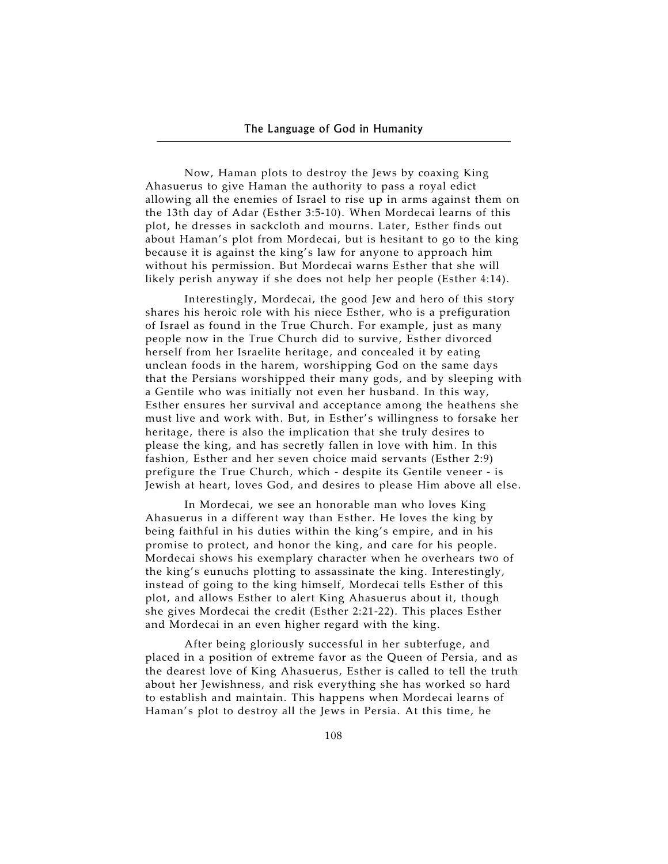Now, Haman plots to destroy the Jews by coaxing King Ahasuerus to give Haman the authority to pass a royal edict allowing all the enemies of Israel to rise up in arms against them on the 13th day of Adar (Esther 3:5-10). When Mordecai learns of this plot, he dresses in sackcloth and mourns. Later, Esther finds out about Haman's plot from Mordecai, but is hesitant to go to the king because it is against the king's law for anyone to approach him without his permission. But Mordecai warns Esther that she will likely perish anyway if she does not help her people (Esther 4:14).

Interestingly, Mordecai, the good Jew and hero of this story shares his heroic role with his niece Esther, who is a prefiguration of Israel as found in the True Church. For example, just as many people now in the True Church did to survive, Esther divorced herself from her Israelite heritage, and concealed it by eating unclean foods in the harem, worshipping God on the same days that the Persians worshipped their many gods, and by sleeping with a Gentile who was initially not even her husband. In this way, Esther ensures her survival and acceptance among the heathens she must live and work with. But, in Esther's willingness to forsake her heritage, there is also the implication that she truly desires to please the king, and has secretly fallen in love with him. In this fashion, Esther and her seven choice maid servants (Esther 2:9) prefigure the True Church, which - despite its Gentile veneer - is Jewish at heart, loves God, and desires to please Him above all else.

In Mordecai, we see an honorable man who loves King Ahasuerus in a different way than Esther. He loves the king by being faithful in his duties within the king's empire, and in his promise to protect, and honor the king, and care for his people. Mordecai shows his exemplary character when he overhears two of the king's eunuchs plotting to assassinate the king. Interestingly, instead of going to the king himself, Mordecai tells Esther of this plot, and allows Esther to alert King Ahasuerus about it, though she gives Mordecai the credit (Esther 2:21-22). This places Esther and Mordecai in an even higher regard with the king.

After being gloriously successful in her subterfuge, and placed in a position of extreme favor as the Queen of Persia, and as the dearest love of King Ahasuerus, Esther is called to tell the truth about her Jewishness, and risk everything she has worked so hard to establish and maintain. This happens when Mordecai learns of Haman's plot to destroy all the Jews in Persia. At this time, he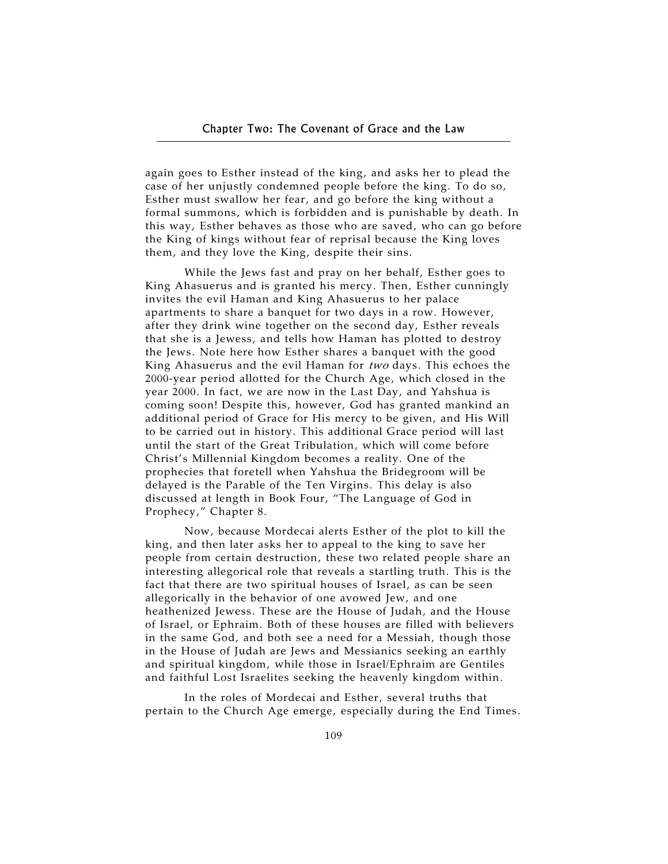again goes to Esther instead of the king, and asks her to plead the case of her unjustly condemned people before the king. To do so, Esther must swallow her fear, and go before the king without a formal summons, which is forbidden and is punishable by death. In this way, Esther behaves as those who are saved, who can go before the King of kings without fear of reprisal because the King loves them, and they love the King, despite their sins.

While the Jews fast and pray on her behalf, Esther goes to King Ahasuerus and is granted his mercy. Then, Esther cunningly invites the evil Haman and King Ahasuerus to her palace apartments to share a banquet for two days in a row. However, after they drink wine together on the second day, Esther reveals that she is a Jewess, and tells how Haman has plotted to destroy the Jews. Note here how Esther shares a banquet with the good King Ahasuerus and the evil Haman for two days. This echoes the 2000-year period allotted for the Church Age, which closed in the year 2000. In fact, we are now in the Last Day, and Yahshua is coming soon! Despite this, however, God has granted mankind an additional period of Grace for His mercy to be given, and His Will to be carried out in history. This additional Grace period will last until the start of the Great Tribulation, which will come before Christ's Millennial Kingdom becomes a reality. One of the prophecies that foretell when Yahshua the Bridegroom will be delayed is the Parable of the Ten Virgins. This delay is also discussed at length in Book Four, "The Language of God in Prophecy," Chapter 8.

Now, because Mordecai alerts Esther of the plot to kill the king, and then later asks her to appeal to the king to save her people from certain destruction, these two related people share an interesting allegorical role that reveals a startling truth. This is the fact that there are two spiritual houses of Israel, as can be seen allegorically in the behavior of one avowed Jew, and one heathenized Jewess. These are the House of Judah, and the House of Israel, or Ephraim. Both of these houses are filled with believers in the same God, and both see a need for a Messiah, though those in the House of Judah are Jews and Messianics seeking an earthly and spiritual kingdom, while those in Israel/Ephraim are Gentiles and faithful Lost Israelites seeking the heavenly kingdom within.

In the roles of Mordecai and Esther, several truths that pertain to the Church Age emerge, especially during the End Times.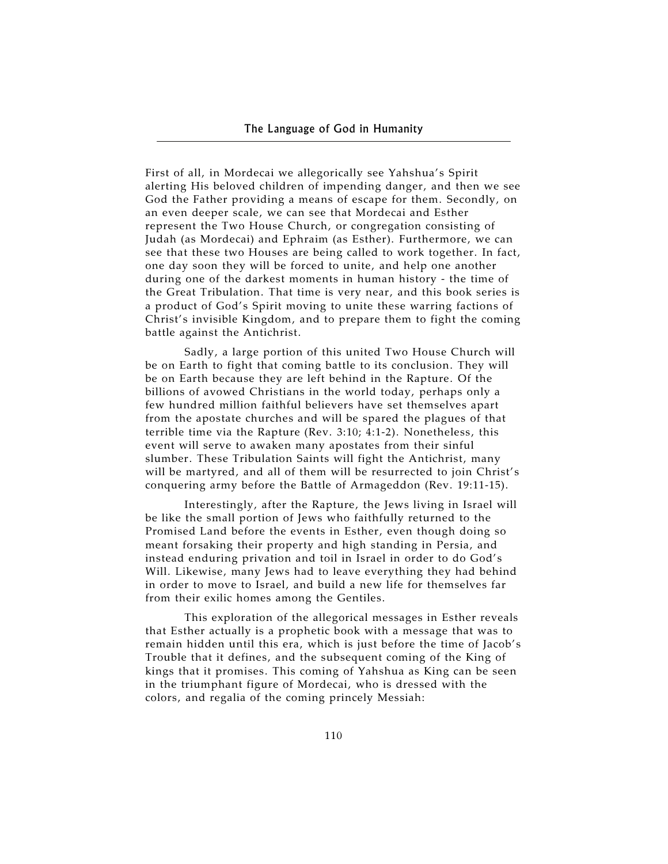First of all, in Mordecai we allegorically see Yahshua's Spirit alerting His beloved children of impending danger, and then we see God the Father providing a means of escape for them. Secondly, on an even deeper scale, we can see that Mordecai and Esther represent the Two House Church, or congregation consisting of Judah (as Mordecai) and Ephraim (as Esther). Furthermore, we can see that these two Houses are being called to work together. In fact, one day soon they will be forced to unite, and help one another during one of the darkest moments in human history - the time of the Great Tribulation. That time is very near, and this book series is a product of God's Spirit moving to unite these warring factions of Christ's invisible Kingdom, and to prepare them to fight the coming battle against the Antichrist.

Sadly, a large portion of this united Two House Church will be on Earth to fight that coming battle to its conclusion. They will be on Earth because they are left behind in the Rapture. Of the billions of avowed Christians in the world today, perhaps only a few hundred million faithful believers have set themselves apart from the apostate churches and will be spared the plagues of that terrible time via the Rapture (Rev. 3:10; 4:1-2). Nonetheless, this event will serve to awaken many apostates from their sinful slumber. These Tribulation Saints will fight the Antichrist, many will be martyred, and all of them will be resurrected to join Christ's conquering army before the Battle of Armageddon (Rev. 19:11-15).

Interestingly, after the Rapture, the Jews living in Israel will be like the small portion of Jews who faithfully returned to the Promised Land before the events in Esther, even though doing so meant forsaking their property and high standing in Persia, and instead enduring privation and toil in Israel in order to do God's Will. Likewise, many Jews had to leave everything they had behind in order to move to Israel, and build a new life for themselves far from their exilic homes among the Gentiles.

This exploration of the allegorical messages in Esther reveals that Esther actually is a prophetic book with a message that was to remain hidden until this era, which is just before the time of Jacob's Trouble that it defines, and the subsequent coming of the King of kings that it promises. This coming of Yahshua as King can be seen in the triumphant figure of Mordecai, who is dressed with the colors, and regalia of the coming princely Messiah: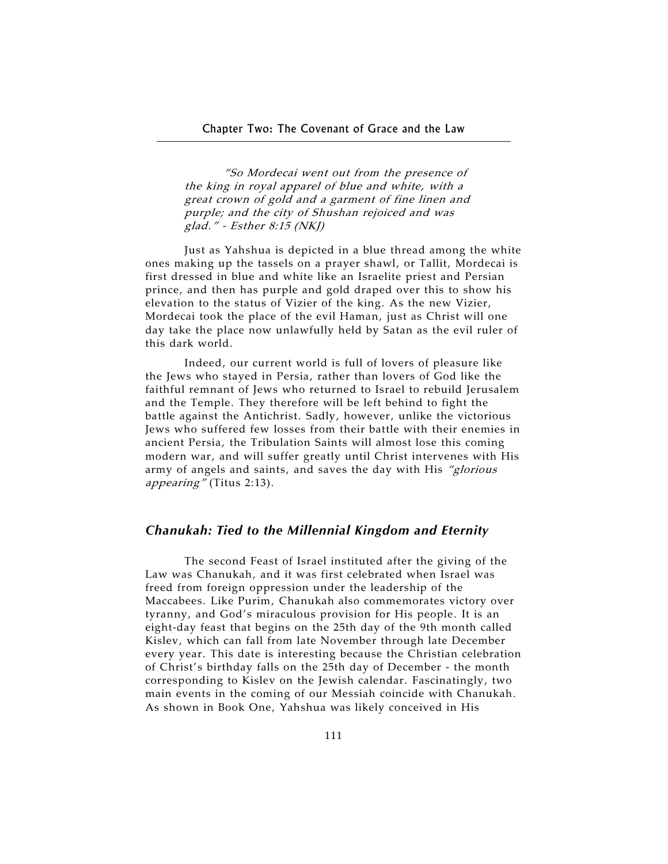"So Mordecai went out from the presence of the king in royal apparel of blue and white, with a great crown of gold and a garment of fine linen and purple; and the city of Shushan rejoiced and was glad." - Esther 8:15 (NKJ)

Just as Yahshua is depicted in a blue thread among the white ones making up the tassels on a prayer shawl, or Tallit, Mordecai is first dressed in blue and white like an Israelite priest and Persian prince, and then has purple and gold draped over this to show his elevation to the status of Vizier of the king. As the new Vizier, Mordecai took the place of the evil Haman, just as Christ will one day take the place now unlawfully held by Satan as the evil ruler of this dark world.

Indeed, our current world is full of lovers of pleasure like the Jews who stayed in Persia, rather than lovers of God like the faithful remnant of Jews who returned to Israel to rebuild Jerusalem and the Temple. They therefore will be left behind to fight the battle against the Antichrist. Sadly, however, unlike the victorious Jews who suffered few losses from their battle with their enemies in ancient Persia, the Tribulation Saints will almost lose this coming modern war, and will suffer greatly until Christ intervenes with His army of angels and saints, and saves the day with His "glorious appearing" (Titus 2:13).

#### *Chanukah: Tied to the Millennial Kingdom and Eternity*

The second Feast of Israel instituted after the giving of the Law was Chanukah, and it was first celebrated when Israel was freed from foreign oppression under the leadership of the Maccabees. Like Purim, Chanukah also commemorates victory over tyranny, and God's miraculous provision for His people. It is an eight-day feast that begins on the 25th day of the 9th month called Kislev, which can fall from late November through late December every year. This date is interesting because the Christian celebration of Christ's birthday falls on the 25th day of December - the month corresponding to Kislev on the Jewish calendar. Fascinatingly, two main events in the coming of our Messiah coincide with Chanukah. As shown in Book One, Yahshua was likely conceived in His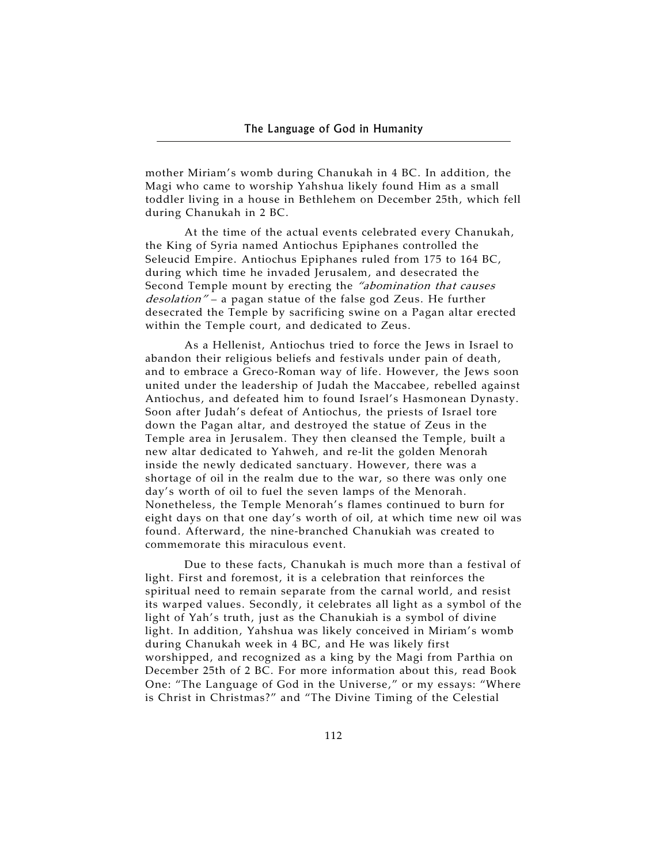mother Miriam's womb during Chanukah in 4 BC. In addition, the Magi who came to worship Yahshua likely found Him as a small toddler living in a house in Bethlehem on December 25th, which fell during Chanukah in 2 BC.

At the time of the actual events celebrated every Chanukah, the King of Syria named Antiochus Epiphanes controlled the Seleucid Empire. Antiochus Epiphanes ruled from 175 to 164 BC, during which time he invaded Jerusalem, and desecrated the Second Temple mount by erecting the "abomination that causes desolation" - a pagan statue of the false god Zeus. He further desecrated the Temple by sacrificing swine on a Pagan altar erected within the Temple court, and dedicated to Zeus.

As a Hellenist, Antiochus tried to force the Jews in Israel to abandon their religious beliefs and festivals under pain of death, and to embrace a Greco-Roman way of life. However, the Jews soon united under the leadership of Judah the Maccabee, rebelled against Antiochus, and defeated him to found Israel's Hasmonean Dynasty. Soon after Judah's defeat of Antiochus, the priests of Israel tore down the Pagan altar, and destroyed the statue of Zeus in the Temple area in Jerusalem. They then cleansed the Temple, built a new altar dedicated to Yahweh, and re-lit the golden Menorah inside the newly dedicated sanctuary. However, there was a shortage of oil in the realm due to the war, so there was only one day's worth of oil to fuel the seven lamps of the Menorah. Nonetheless, the Temple Menorah's flames continued to burn for eight days on that one day's worth of oil, at which time new oil was found. Afterward, the nine-branched Chanukiah was created to commemorate this miraculous event.

Due to these facts, Chanukah is much more than a festival of light. First and foremost, it is a celebration that reinforces the spiritual need to remain separate from the carnal world, and resist its warped values. Secondly, it celebrates all light as a symbol of the light of Yah's truth, just as the Chanukiah is a symbol of divine light. In addition, Yahshua was likely conceived in Miriam's womb during Chanukah week in 4 BC, and He was likely first worshipped, and recognized as a king by the Magi from Parthia on December 25th of 2 BC. For more information about this, read Book One: "The Language of God in the Universe," or my essays: "Where is Christ in Christmas?" and "The Divine Timing of the Celestial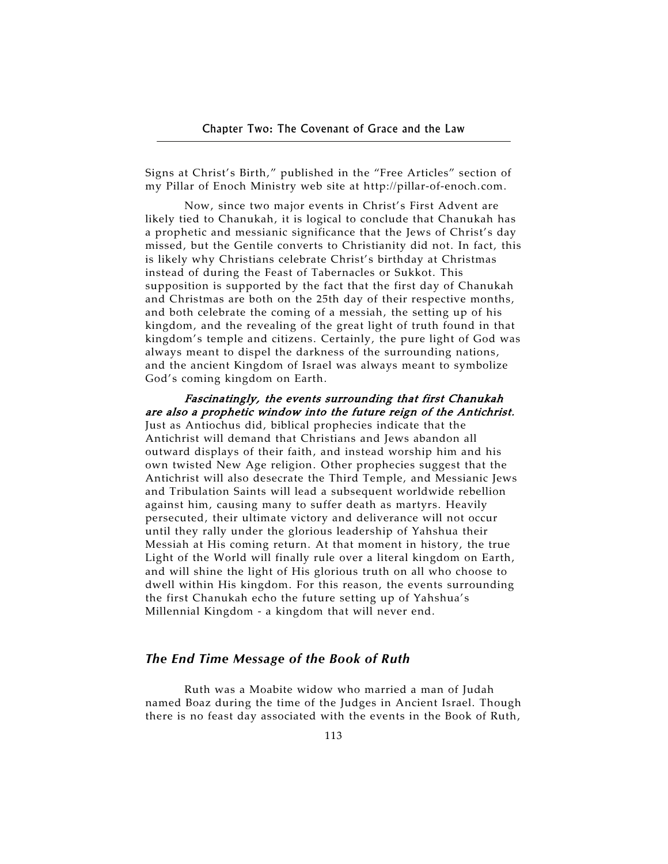Signs at Christ's Birth," published in the "Free Articles" section of my Pillar of Enoch Ministry web site at http://pillar-of-enoch.com.

Now, since two major events in Christ's First Advent are likely tied to Chanukah, it is logical to conclude that Chanukah has a prophetic and messianic significance that the Jews of Christ's day missed, but the Gentile converts to Christianity did not. In fact, this is likely why Christians celebrate Christ's birthday at Christmas instead of during the Feast of Tabernacles or Sukkot. This supposition is supported by the fact that the first day of Chanukah and Christmas are both on the 25th day of their respective months, and both celebrate the coming of a messiah, the setting up of his kingdom, and the revealing of the great light of truth found in that kingdom's temple and citizens. Certainly, the pure light of God was always meant to dispel the darkness of the surrounding nations, and the ancient Kingdom of Israel was always meant to symbolize God's coming kingdom on Earth.

## Fascinatingly, the events surrounding that first Chanukah are also a prophetic window into the future reign of the Antichrist.

Just as Antiochus did, biblical prophecies indicate that the Antichrist will demand that Christians and Jews abandon all outward displays of their faith, and instead worship him and his own twisted New Age religion. Other prophecies suggest that the Antichrist will also desecrate the Third Temple, and Messianic Jews and Tribulation Saints will lead a subsequent worldwide rebellion against him, causing many to suffer death as martyrs. Heavily persecuted, their ultimate victory and deliverance will not occur until they rally under the glorious leadership of Yahshua their Messiah at His coming return. At that moment in history, the true Light of the World will finally rule over a literal kingdom on Earth, and will shine the light of His glorious truth on all who choose to dwell within His kingdom. For this reason, the events surrounding the first Chanukah echo the future setting up of Yahshua's Millennial Kingdom - a kingdom that will never end.

## *The End Time Message of the Book of Ruth*

Ruth was a Moabite widow who married a man of Judah named Boaz during the time of the Judges in Ancient Israel. Though there is no feast day associated with the events in the Book of Ruth,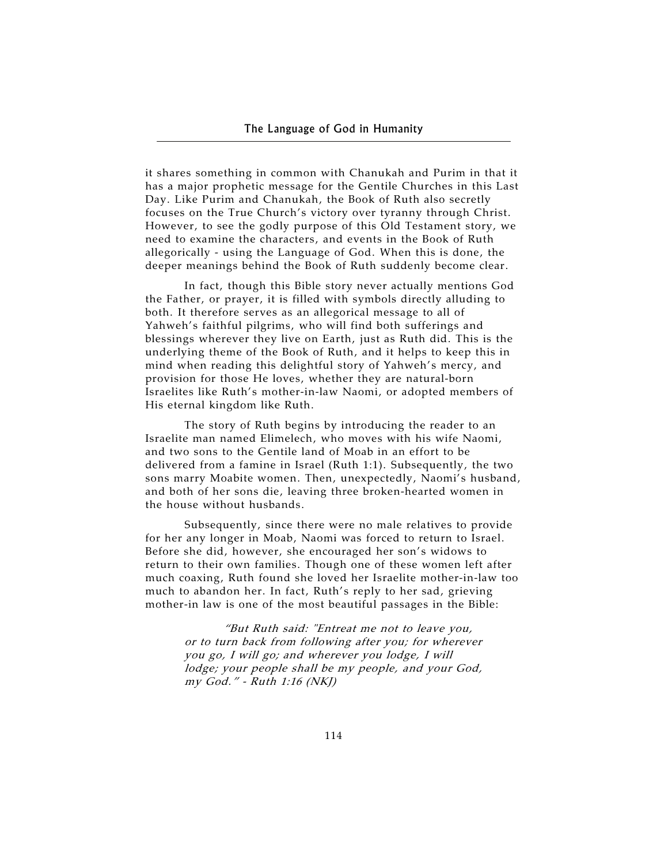it shares something in common with Chanukah and Purim in that it has a major prophetic message for the Gentile Churches in this Last Day. Like Purim and Chanukah, the Book of Ruth also secretly focuses on the True Church's victory over tyranny through Christ. However, to see the godly purpose of this Old Testament story, we need to examine the characters, and events in the Book of Ruth allegorically - using the Language of God. When this is done, the deeper meanings behind the Book of Ruth suddenly become clear.

In fact, though this Bible story never actually mentions God the Father, or prayer, it is filled with symbols directly alluding to both. It therefore serves as an allegorical message to all of Yahweh's faithful pilgrims, who will find both sufferings and blessings wherever they live on Earth, just as Ruth did. This is the underlying theme of the Book of Ruth, and it helps to keep this in mind when reading this delightful story of Yahweh's mercy, and provision for those He loves, whether they are natural-born Israelites like Ruth's mother-in-law Naomi, or adopted members of His eternal kingdom like Ruth.

The story of Ruth begins by introducing the reader to an Israelite man named Elimelech, who moves with his wife Naomi, and two sons to the Gentile land of Moab in an effort to be delivered from a famine in Israel (Ruth 1:1). Subsequently, the two sons marry Moabite women. Then, unexpectedly, Naomi's husband, and both of her sons die, leaving three broken-hearted women in the house without husbands.

Subsequently, since there were no male relatives to provide for her any longer in Moab, Naomi was forced to return to Israel. Before she did, however, she encouraged her son's widows to return to their own families. Though one of these women left after much coaxing, Ruth found she loved her Israelite mother-in-law too much to abandon her. In fact, Ruth's reply to her sad, grieving mother-in law is one of the most beautiful passages in the Bible:

> "But Ruth said: "Entreat me not to leave you, or to turn back from following after you; for wherever you go, I will go; and wherever you lodge, I will lodge; your people shall be my people, and your God, my God." - Ruth 1:16 (NKJ)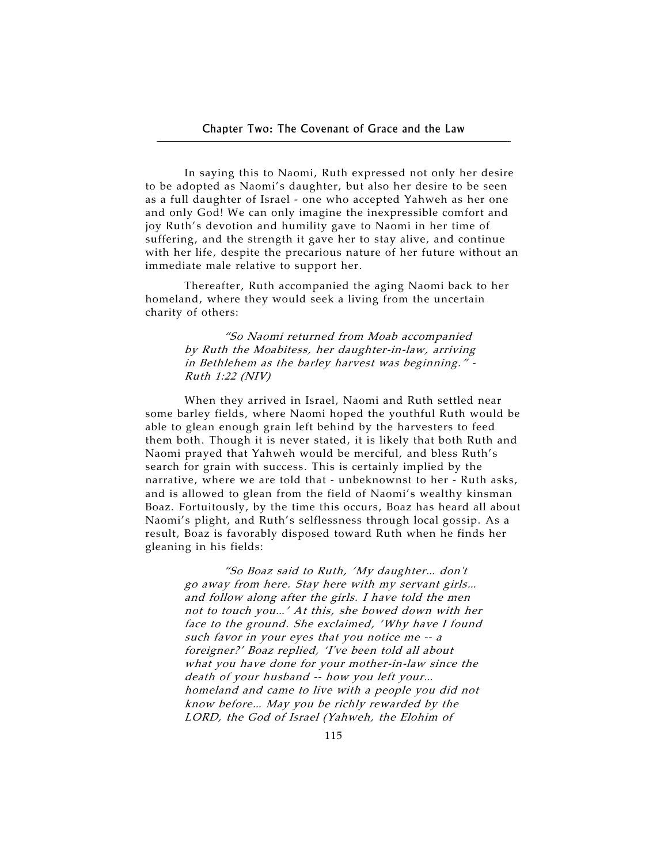In saying this to Naomi, Ruth expressed not only her desire to be adopted as Naomi's daughter, but also her desire to be seen as a full daughter of Israel - one who accepted Yahweh as her one and only God! We can only imagine the inexpressible comfort and joy Ruth's devotion and humility gave to Naomi in her time of suffering, and the strength it gave her to stay alive, and continue with her life, despite the precarious nature of her future without an immediate male relative to support her.

Thereafter, Ruth accompanied the aging Naomi back to her homeland, where they would seek a living from the uncertain charity of others:

> "So Naomi returned from Moab accompanied by Ruth the Moabitess, her daughter-in-law, arriving in Bethlehem as the barley harvest was beginning." - Ruth 1:22 (NIV)

When they arrived in Israel, Naomi and Ruth settled near some barley fields, where Naomi hoped the youthful Ruth would be able to glean enough grain left behind by the harvesters to feed them both. Though it is never stated, it is likely that both Ruth and Naomi prayed that Yahweh would be merciful, and bless Ruth's search for grain with success. This is certainly implied by the narrative, where we are told that - unbeknownst to her - Ruth asks, and is allowed to glean from the field of Naomi's wealthy kinsman Boaz. Fortuitously, by the time this occurs, Boaz has heard all about Naomi's plight, and Ruth's selflessness through local gossip. As a result, Boaz is favorably disposed toward Ruth when he finds her gleaning in his fields:

> "So Boaz said to Ruth, 'My daughter… don't go away from here. Stay here with my servant girls… and follow along after the girls. I have told the men not to touch you…' At this, she bowed down with her face to the ground. She exclaimed, 'Why have I found such favor in your eyes that you notice me -- a foreigner?' Boaz replied, 'I've been told all about what you have done for your mother-in-law since the death of your husband -- how you left your… homeland and came to live with a people you did not know before… May you be richly rewarded by the LORD, the God of Israel (Yahweh, the Elohim of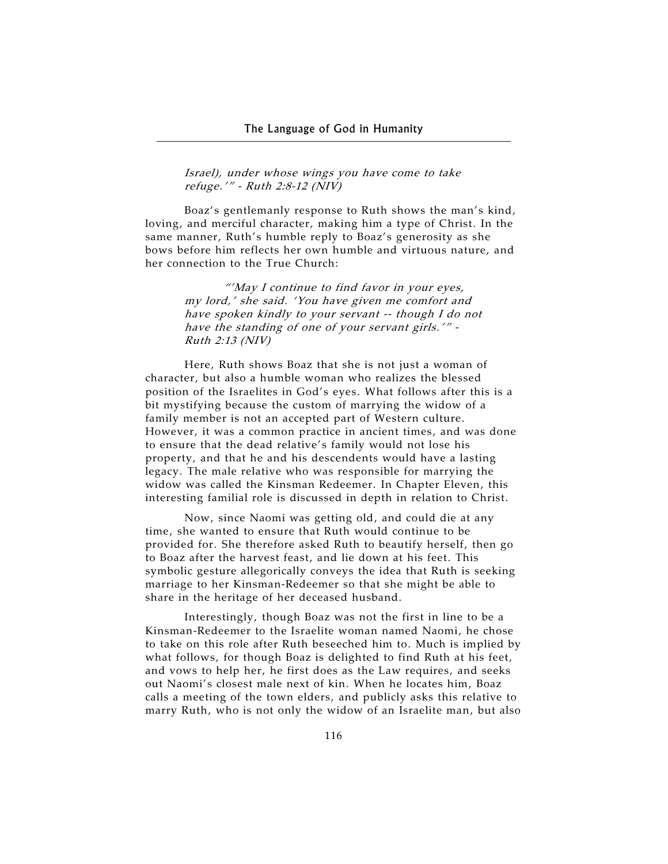Israel), under whose wings you have come to take refuge.'" - Ruth 2:8-12 (NIV)

Boaz's gentlemanly response to Ruth shows the man's kind, loving, and merciful character, making him a type of Christ. In the same manner, Ruth's humble reply to Boaz's generosity as she bows before him reflects her own humble and virtuous nature, and her connection to the True Church:

> "'May I continue to find favor in your eyes, my lord,' she said. 'You have given me comfort and have spoken kindly to your servant -- though I do not have the standing of one of your servant girls.'" - Ruth 2:13 (NIV)

Here, Ruth shows Boaz that she is not just a woman of character, but also a humble woman who realizes the blessed position of the Israelites in God's eyes. What follows after this is a bit mystifying because the custom of marrying the widow of a family member is not an accepted part of Western culture. However, it was a common practice in ancient times, and was done to ensure that the dead relative's family would not lose his property, and that he and his descendents would have a lasting legacy. The male relative who was responsible for marrying the widow was called the Kinsman Redeemer. In Chapter Eleven, this interesting familial role is discussed in depth in relation to Christ.

Now, since Naomi was getting old, and could die at any time, she wanted to ensure that Ruth would continue to be provided for. She therefore asked Ruth to beautify herself, then go to Boaz after the harvest feast, and lie down at his feet. This symbolic gesture allegorically conveys the idea that Ruth is seeking marriage to her Kinsman-Redeemer so that she might be able to share in the heritage of her deceased husband.

Interestingly, though Boaz was not the first in line to be a Kinsman-Redeemer to the Israelite woman named Naomi, he chose to take on this role after Ruth beseeched him to. Much is implied by what follows, for though Boaz is delighted to find Ruth at his feet, and vows to help her, he first does as the Law requires, and seeks out Naomi's closest male next of kin. When he locates him, Boaz calls a meeting of the town elders, and publicly asks this relative to marry Ruth, who is not only the widow of an Israelite man, but also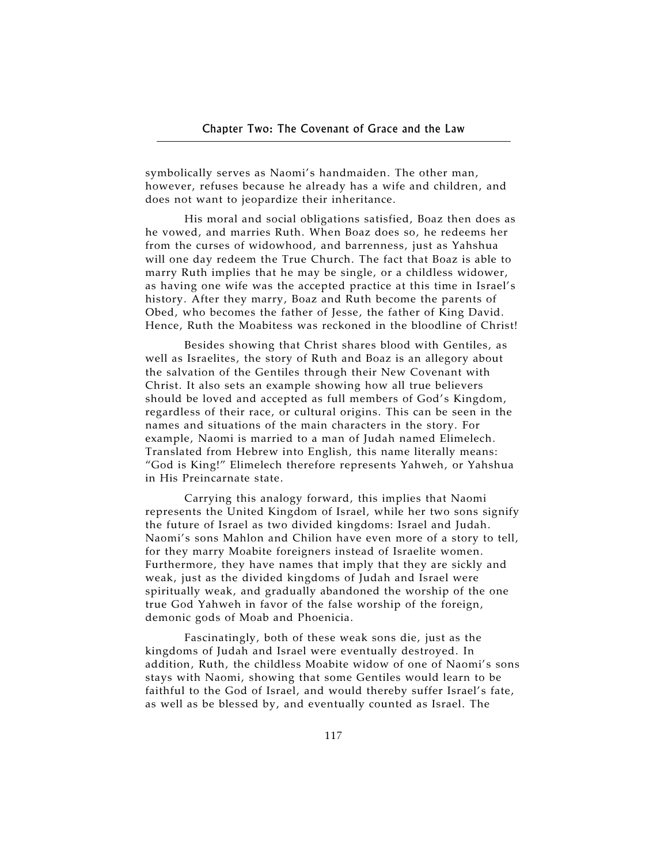symbolically serves as Naomi's handmaiden. The other man, however, refuses because he already has a wife and children, and does not want to jeopardize their inheritance.

His moral and social obligations satisfied, Boaz then does as he vowed, and marries Ruth. When Boaz does so, he redeems her from the curses of widowhood, and barrenness, just as Yahshua will one day redeem the True Church. The fact that Boaz is able to marry Ruth implies that he may be single, or a childless widower, as having one wife was the accepted practice at this time in Israel's history. After they marry, Boaz and Ruth become the parents of Obed, who becomes the father of Jesse, the father of King David. Hence, Ruth the Moabitess was reckoned in the bloodline of Christ!

Besides showing that Christ shares blood with Gentiles, as well as Israelites, the story of Ruth and Boaz is an allegory about the salvation of the Gentiles through their New Covenant with Christ. It also sets an example showing how all true believers should be loved and accepted as full members of God's Kingdom, regardless of their race, or cultural origins. This can be seen in the names and situations of the main characters in the story. For example, Naomi is married to a man of Judah named Elimelech. Translated from Hebrew into English, this name literally means: "God is King!" Elimelech therefore represents Yahweh, or Yahshua in His Preincarnate state.

Carrying this analogy forward, this implies that Naomi represents the United Kingdom of Israel, while her two sons signify the future of Israel as two divided kingdoms: Israel and Judah. Naomi's sons Mahlon and Chilion have even more of a story to tell, for they marry Moabite foreigners instead of Israelite women. Furthermore, they have names that imply that they are sickly and weak, just as the divided kingdoms of Judah and Israel were spiritually weak, and gradually abandoned the worship of the one true God Yahweh in favor of the false worship of the foreign, demonic gods of Moab and Phoenicia.

Fascinatingly, both of these weak sons die, just as the kingdoms of Judah and Israel were eventually destroyed. In addition, Ruth, the childless Moabite widow of one of Naomi's sons stays with Naomi, showing that some Gentiles would learn to be faithful to the God of Israel, and would thereby suffer Israel's fate, as well as be blessed by, and eventually counted as Israel. The